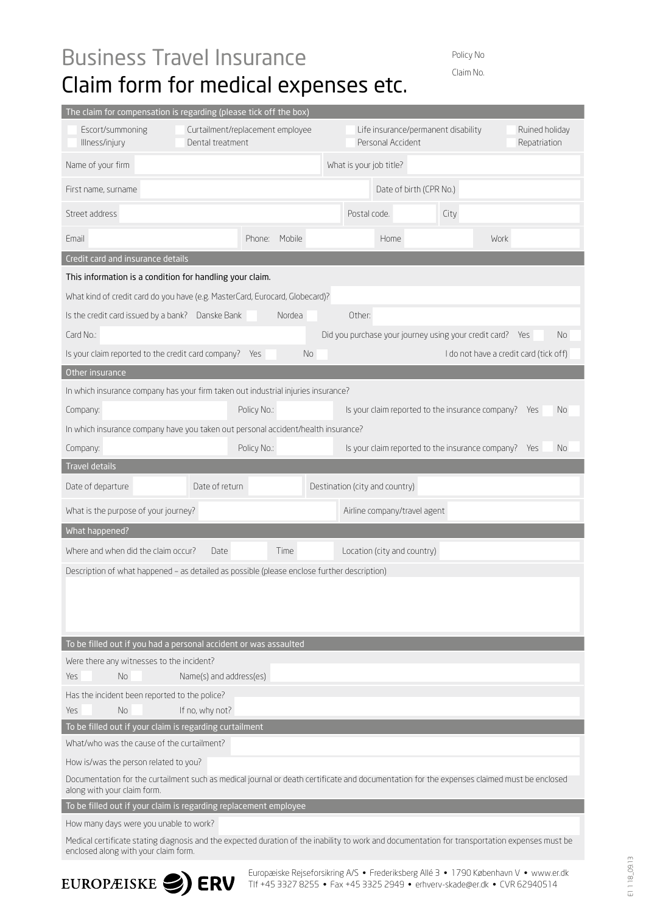## Business Travel Insurance Claim form for medical expenses etc.

Policy No. Claim No.

| The claim for compensation is regarding (please tick off the box)                                                                                                                      |                         |                  |    |                                                          |                                                       |      |             |                                        |  |  |
|----------------------------------------------------------------------------------------------------------------------------------------------------------------------------------------|-------------------------|------------------|----|----------------------------------------------------------|-------------------------------------------------------|------|-------------|----------------------------------------|--|--|
| Escort/summoning<br>Curtailment/replacement employee<br>Illness/injury<br>Dental treatment                                                                                             |                         |                  |    | Life insurance/permanent disability<br>Personal Accident |                                                       |      |             | Ruined holiday<br>Repatriation         |  |  |
| Name of your firm                                                                                                                                                                      |                         |                  |    | What is your job title?                                  |                                                       |      |             |                                        |  |  |
| First name, surname                                                                                                                                                                    |                         |                  |    |                                                          | Date of birth (CPR No.)                               |      |             |                                        |  |  |
| Street address                                                                                                                                                                         |                         |                  |    | Postal code.                                             |                                                       | City |             |                                        |  |  |
| Fmail                                                                                                                                                                                  |                         | Mobile<br>Phone: |    |                                                          | Home                                                  |      | <b>Work</b> |                                        |  |  |
| Credit card and insurance details                                                                                                                                                      |                         |                  |    |                                                          |                                                       |      |             |                                        |  |  |
| This information is a condition for handling your claim.                                                                                                                               |                         |                  |    |                                                          |                                                       |      |             |                                        |  |  |
| What kind of credit card do you have (e.g. MasterCard, Eurocard, Globecard)?                                                                                                           |                         |                  |    |                                                          |                                                       |      |             |                                        |  |  |
| Is the credit card issued by a bank? Danske Bank<br>Nordea<br>Other:                                                                                                                   |                         |                  |    |                                                          |                                                       |      |             |                                        |  |  |
| Card No.:                                                                                                                                                                              |                         |                  |    |                                                          | Did you purchase your journey using your credit card? |      |             | No.<br>Yes                             |  |  |
| Is your claim reported to the credit card company?                                                                                                                                     |                         | Yes              | No |                                                          |                                                       |      |             | I do not have a credit card (tick off) |  |  |
| Other insurance                                                                                                                                                                        |                         |                  |    |                                                          |                                                       |      |             |                                        |  |  |
| In which insurance company has your firm taken out industrial injuries insurance?                                                                                                      |                         |                  |    |                                                          |                                                       |      |             |                                        |  |  |
| Company:                                                                                                                                                                               |                         | Policy No.:      |    |                                                          | Is your claim reported to the insurance company? Yes  |      |             | No.                                    |  |  |
| In which insurance company have you taken out personal accident/health insurance?                                                                                                      |                         |                  |    |                                                          |                                                       |      |             |                                        |  |  |
| Company:                                                                                                                                                                               |                         | Policy No.:      |    |                                                          | Is your claim reported to the insurance company? Yes  |      |             | No                                     |  |  |
| Travel details                                                                                                                                                                         |                         |                  |    |                                                          |                                                       |      |             |                                        |  |  |
| Date of departure                                                                                                                                                                      | Date of return          |                  |    |                                                          | Destination (city and country)                        |      |             |                                        |  |  |
| What is the purpose of your journey?                                                                                                                                                   |                         |                  |    |                                                          | Airline company/travel agent                          |      |             |                                        |  |  |
| What happened?                                                                                                                                                                         |                         |                  |    |                                                          |                                                       |      |             |                                        |  |  |
| Where and when did the claim occur?<br>Location (city and country)<br>Time<br>Date.                                                                                                    |                         |                  |    |                                                          |                                                       |      |             |                                        |  |  |
| Description of what happened - as detailed as possible (please enclose further description)                                                                                            |                         |                  |    |                                                          |                                                       |      |             |                                        |  |  |
|                                                                                                                                                                                        |                         |                  |    |                                                          |                                                       |      |             |                                        |  |  |
|                                                                                                                                                                                        |                         |                  |    |                                                          |                                                       |      |             |                                        |  |  |
|                                                                                                                                                                                        |                         |                  |    |                                                          |                                                       |      |             |                                        |  |  |
| To be filled out if you had a personal accident or was assaulted                                                                                                                       |                         |                  |    |                                                          |                                                       |      |             |                                        |  |  |
| Were there any witnesses to the incident?                                                                                                                                              |                         |                  |    |                                                          |                                                       |      |             |                                        |  |  |
| <b>Yes</b><br>No.                                                                                                                                                                      | Name(s) and address(es) |                  |    |                                                          |                                                       |      |             |                                        |  |  |
| Has the incident been reported to the police?                                                                                                                                          |                         |                  |    |                                                          |                                                       |      |             |                                        |  |  |
| No.<br>Yes                                                                                                                                                                             | If no, why not?         |                  |    |                                                          |                                                       |      |             |                                        |  |  |
| To be filled out if your claim is regarding curtailment                                                                                                                                |                         |                  |    |                                                          |                                                       |      |             |                                        |  |  |
| What/who was the cause of the curtailment?                                                                                                                                             |                         |                  |    |                                                          |                                                       |      |             |                                        |  |  |
| How is/was the person related to you?                                                                                                                                                  |                         |                  |    |                                                          |                                                       |      |             |                                        |  |  |
| Documentation for the curtailment such as medical journal or death certificate and documentation for the expenses claimed must be enclosed<br>along with your claim form.              |                         |                  |    |                                                          |                                                       |      |             |                                        |  |  |
| To be filled out if your claim is regarding replacement employee                                                                                                                       |                         |                  |    |                                                          |                                                       |      |             |                                        |  |  |
| How many days were you unable to work?                                                                                                                                                 |                         |                  |    |                                                          |                                                       |      |             |                                        |  |  |
| Medical certificate stating diagnosis and the expected duration of the inability to work and documentation for transportation expenses must be<br>enclosed along with your claim form. |                         |                  |    |                                                          |                                                       |      |             |                                        |  |  |



Europæiske Rejseforsikring A/S • Frederiksberg Allé 3 • 1790 København V • www.er.dk Tlf +45 3327 8255 • Fax +45 3325 2949 • erhverv-skade@er.dk • CVR 62940514